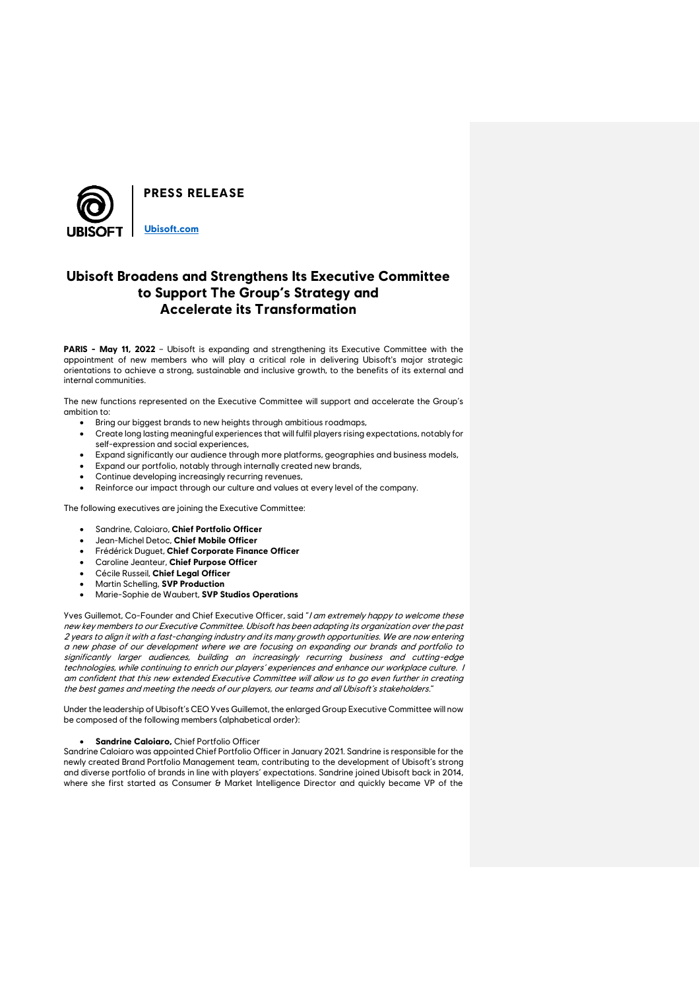

# **Ubisoft Broadens and Strengthens Its Executive Committee to Support The Group's Strategy and Accelerate its Transformation**

**PARIS - May 11, 2022** – Ubisoft is expanding and strengthening its Executive Committee with the appointment of new members who will play a critical role in delivering Ubisoft's major strategic orientations to achieve a strong, sustainable and inclusive growth, to the benefits of its external and internal communities.

The new functions represented on the Executive Committee will support and accelerate the Group's ambition to:

- Bring our biggest brands to new heights through ambitious roadmaps,
- Create long lasting meaningful experiences that will fulfil players rising expectations, notably for self-expression and social experiences,
- Expand significantly our audience through more platforms, geographies and business models,
- Expand our portfolio, notably through internally created new brands,
- Continue developing increasingly recurring revenues,
- Reinforce our impact through our culture and values at every level of the company.

The following executives are joining the Executive Committee:

- Sandrine, Caloiaro, **Chief Portfolio Officer**
- Jean-Michel Detoc, **Chief Mobile Officer**
- Frédérick Duguet, **Chief Corporate Finance Officer**
- Caroline Jeanteur, **Chief Purpose Officer**
- Cécile Russeil, **Chief Legal Officer**
- Martin Schelling, **SVP Production**
- Marie-Sophie de Waubert, **SVP Studios Operations**

Yves Guillemot, Co-Founder and Chief Executive Officer, said "I am extremely happy to welcome these new key members to our Executive Committee. Ubisoft has been adapting its organization over the past 2 years to align it with a fast-changing industry and its many growth opportunities. We are now entering a new phase of our development where we are focusing on expanding our brands and portfolio to significantly larger audiences, building an increasingly recurring business and cutting-edge technologies, while continuing to enrich our players' experiences and enhance our workplace culture. I am confident that this new extended Executive Committee will allow us to go even further in creating the best games and meeting the needs of our players, our teams and all Ubisoft's stakeholders."

Under the leadership of Ubisoft's CEO Yves Guillemot, the enlarged Group Executive Committee will now be composed of the following members (alphabetical order):

## • **Sandrine Caloiaro,** Chief Portfolio Officer

Sandrine Caloiaro was appointed Chief Portfolio Officer in January 2021. Sandrine is responsible for the newly created Brand Portfolio Management team, contributing to the development of Ubisoft's strong and diverse portfolio of brands in line with players' expectations. Sandrine joined Ubisoft back in 2014, where she first started as Consumer & Market Intelligence Director and quickly became VP of the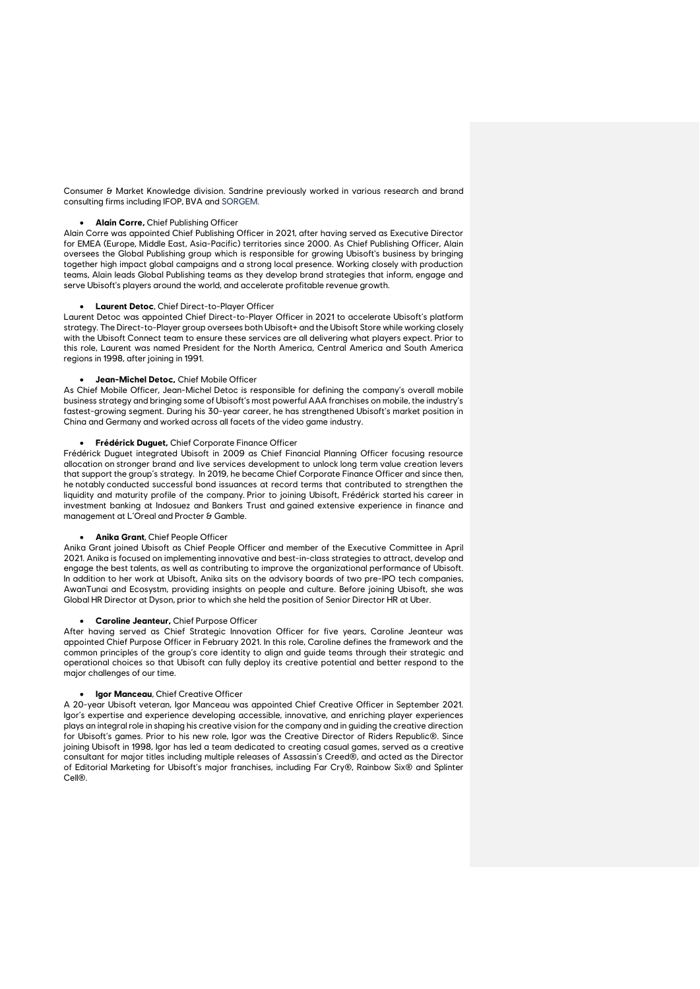Consumer & Market Knowledge division. Sandrine previously worked in various research and brand consulting firms including IFOP, BVA and SORGEM.

## • **Alain Corre,** Chief Publishing Officer

Alain Corre was appointed Chief Publishing Officer in 2021, after having served as Executive Director for EMEA (Europe, Middle East, Asia-Pacific) territories since 2000. As Chief Publishing Officer, Alain oversees the Global Publishing group which is responsible for growing Ubisoft's business by bringing together high impact global campaigns and a strong local presence. Working closely with production teams, Alain leads Global Publishing teams as they develop brand strategies that inform, engage and serve Ubisoft's players around the world, and accelerate profitable revenue growth.

# • **Laurent Detoc**, Chief Direct-to-Player Officer

Laurent Detoc was appointed Chief Direct-to-Player Officer in 2021 to accelerate Ubisoft's platform strategy. The Direct-to-Player group oversees both Ubisoft+ and the Ubisoft Store while working closely with the Ubisoft Connect team to ensure these services are all delivering what players expect. Prior to this role, Laurent was named President for the North America, Central America and South America regions in 1998, after joining in 1991.

# • **Jean-Michel Detoc,** Chief Mobile Officer

As Chief Mobile Officer, Jean-Michel Detoc is responsible for defining the company's overall mobile business strategy and bringing some of Ubisoft's most powerful AAA franchises on mobile, the industry's fastest-growing segment. During his 30-year career, he has strengthened Ubisoft's market position in China and Germany and worked across all facets of the video game industry.

# • **Frédérick Duguet,** Chief Corporate Finance Officer

Frédérick Duguet integrated Ubisoft in 2009 as Chief Financial Planning Officer focusing resource allocation on stronger brand and live services development to unlock long term value creation levers that support the group's strategy. In 2019, he became Chief Corporate Finance Officer and since then, he notably conducted successful bond issuances at record terms that contributed to strengthen the liquidity and maturity profile of the company. Prior to joining Ubisoft, Frédérick started his career in investment banking at Indosuez and Bankers Trust and gained extensive experience in finance and management at L'Oreal and Procter & Gamble.

#### • **Anika Grant**, Chief People Officer

Anika Grant joined Ubisoft as Chief People Officer and member of the Executive Committee in April 2021. Anika is focused on implementing innovative and best-in-class strategies to attract, develop and engage the best talents, as well as contributing to improve the organizational performance of Ubisoft. In addition to her work at Ubisoft, Anika sits on the advisory boards of two pre-IPO tech companies, AwanTunai and Ecosystm, providing insights on people and culture. Before joining Ubisoft, she was Global HR Director at Dyson, prior to which she held the position of Senior Director HR at Uber.

# • **Caroline Jeanteur,** Chief Purpose Officer

After having served as Chief Strategic Innovation Officer for five years, Caroline Jeanteur was appointed Chief Purpose Officer in February 2021. In this role, Caroline defines the framework and the common principles of the group's core identity to align and guide teams through their strategic and operational choices so that Ubisoft can fully deploy its creative potential and better respond to the major challenges of our time.

#### • **Igor Manceau**, Chief Creative Officer

A 20-year Ubisoft veteran, Igor Manceau was appointed Chief Creative Officer in September 2021. Igor's expertise and experience developing accessible, innovative, and enriching player experiences plays an integral role in shaping his creative vision for the company and in guiding the creative direction for Ubisoft's games. Prior to his new role, Igor was the Creative Director of Riders Republic®. Since joining Ubisoft in 1998, Igor has led a team dedicated to creating casual games, served as a creative consultant for major titles including multiple releases of Assassin's Creed®, and acted as the Director of Editorial Marketing for Ubisoft's major franchises, including Far Cry®, Rainbow Six® and Splinter Cell®.